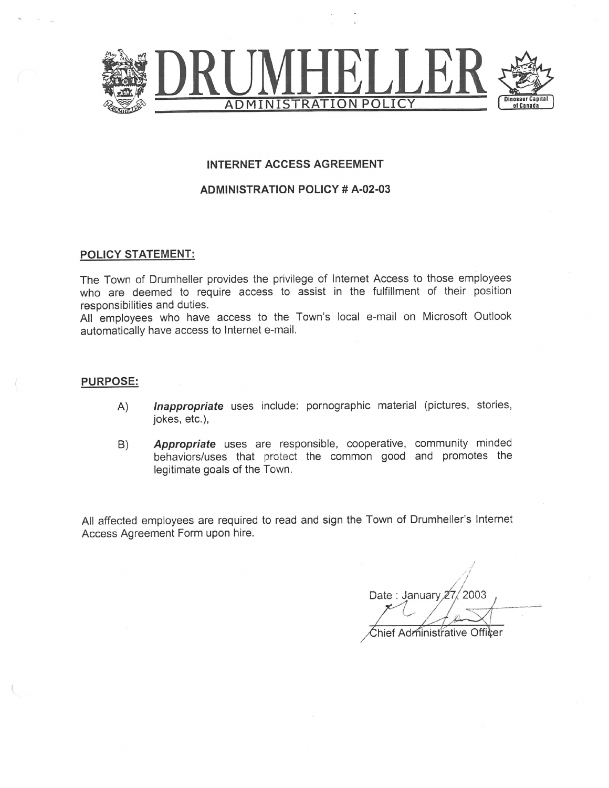

## **INTERNET ACCESS AGREEMENT**

## **ADMINISTRATION POLICY # A-02-03**

#### POLICY STATEMENT:

The Town of Drumheller provides the privilege of Internet Access to those employees who are deemed to require access to assist in the fulfillment of their position responsibilities and duties.

All employees who have access to the Town's local e-mail on Microsoft Outlook automatically have access to Internet e-mail.

#### **PURPOSE:**

- Inappropriate uses include: pornographic material (pictures, stories,  $(A)$ jokes, etc.),
- Appropriate uses are responsible, cooperative, community minded B) behaviors/uses that protect the common good and promotes the legitimate goals of the Town.

All affected employees are required to read and sign the Town of Drumheller's Internet Access Agreement Form upon hire.

Date: January 27, 2003 Chief Administrative Officer